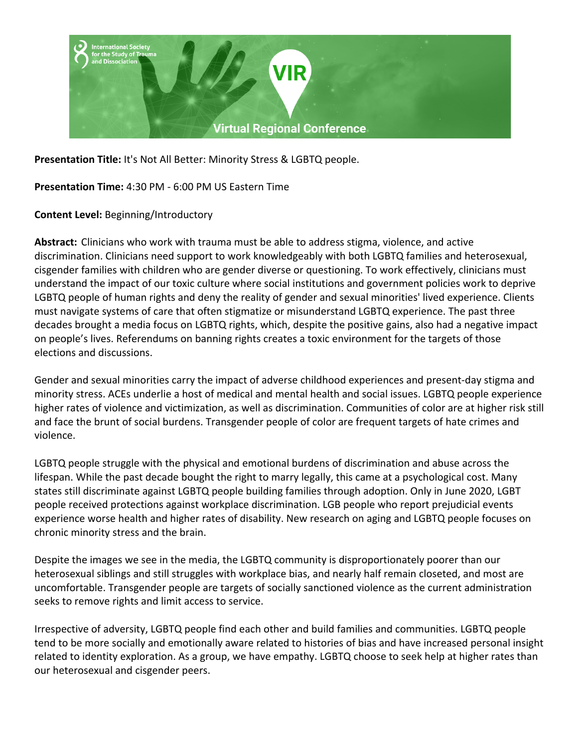

**Presentation Title:** It's Not All Better: Minority Stress & LGBTQ people.

**Presentation Time:** 4:30 PM - 6:00 PM US Eastern Time

**Content Level:** Beginning/Introductory

**Abstract:** Clinicians who work with trauma must be able to address stigma, violence, and active discrimination. Clinicians need support to work knowledgeably with both LGBTQ families and heterosexual, cisgender families with children who are gender diverse or questioning. To work effectively, clinicians must understand the impact of our toxic culture where social institutions and government policies work to deprive LGBTQ people of human rights and deny the reality of gender and sexual minorities' lived experience. Clients must navigate systems of care that often stigmatize or misunderstand LGBTQ experience. The past three decades brought a media focus on LGBTQ rights, which, despite the positive gains, also had a negative impact on people's lives. Referendums on banning rights creates a toxic environment for the targets of those elections and discussions.

Gender and sexual minorities carry the impact of adverse childhood experiences and present-day stigma and minority stress. ACEs underlie a host of medical and mental health and social issues. LGBTQ people experience higher rates of violence and victimization, as well as discrimination. Communities of color are at higher risk still and face the brunt of social burdens. Transgender people of color are frequent targets of hate crimes and violence.

LGBTQ people struggle with the physical and emotional burdens of discrimination and abuse across the lifespan. While the past decade bought the right to marry legally, this came at a psychological cost. Many states still discriminate against LGBTQ people building families through adoption. Only in June 2020, LGBT people received protections against workplace discrimination. LGB people who report prejudicial events experience worse health and higher rates of disability. New research on aging and LGBTQ people focuses on chronic minority stress and the brain.

Despite the images we see in the media, the LGBTQ community is disproportionately poorer than our heterosexual siblings and still struggles with workplace bias, and nearly half remain closeted, and most are uncomfortable. Transgender people are targets of socially sanctioned violence as the current administration seeks to remove rights and limit access to service.

Irrespective of adversity, LGBTQ people find each other and build families and communities. LGBTQ people tend to be more socially and emotionally aware related to histories of bias and have increased personal insight related to identity exploration. As a group, we have empathy. LGBTQ choose to seek help at higher rates than our heterosexual and cisgender peers.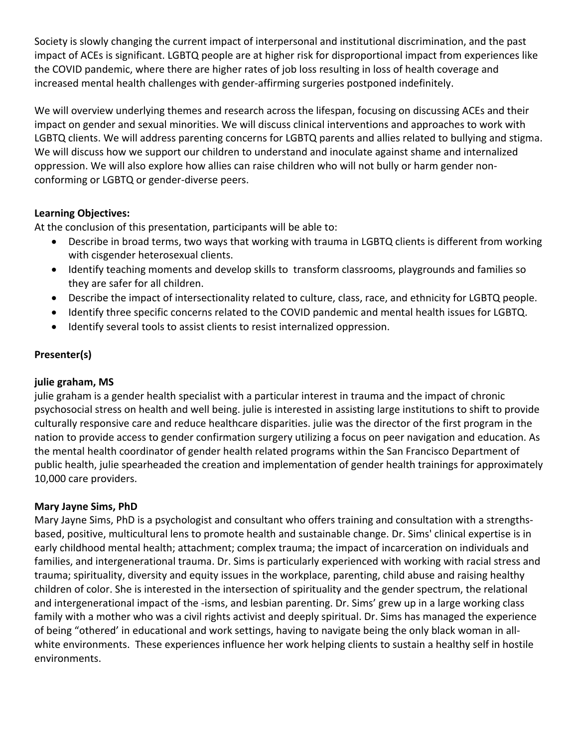Society is slowly changing the current impact of interpersonal and institutional discrimination, and the past impact of ACEs is significant. LGBTQ people are at higher risk for disproportional impact from experiences like the COVID pandemic, where there are higher rates of job loss resulting in loss of health coverage and increased mental health challenges with gender-affirming surgeries postponed indefinitely.

We will overview underlying themes and research across the lifespan, focusing on discussing ACEs and their impact on gender and sexual minorities. We will discuss clinical interventions and approaches to work with LGBTQ clients. We will address parenting concerns for LGBTQ parents and allies related to bullying and stigma. We will discuss how we support our children to understand and inoculate against shame and internalized oppression. We will also explore how allies can raise children who will not bully or harm gender nonconforming or LGBTQ or gender-diverse peers.

## **Learning Objectives:**

At the conclusion of this presentation, participants will be able to:

- Describe in broad terms, two ways that working with trauma in LGBTQ clients is different from working with cisgender heterosexual clients.
- Identify teaching moments and develop skills to transform classrooms, playgrounds and families so they are safer for all children.
- Describe the impact of intersectionality related to culture, class, race, and ethnicity for LGBTQ people.
- Identify three specific concerns related to the COVID pandemic and mental health issues for LGBTQ.
- Identify several tools to assist clients to resist internalized oppression.

# **Presenter(s)**

### **julie graham, MS**

julie graham is a gender health specialist with a particular interest in trauma and the impact of chronic psychosocial stress on health and well being. julie is interested in assisting large institutions to shift to provide culturally responsive care and reduce healthcare disparities. julie was the director of the first program in the nation to provide access to gender confirmation surgery utilizing a focus on peer navigation and education. As the mental health coordinator of gender health related programs within the San Francisco Department of public health, julie spearheaded the creation and implementation of gender health trainings for approximately 10,000 care providers.

### **Mary Jayne Sims, PhD**

Mary Jayne Sims, PhD is a psychologist and consultant who offers training and consultation with a strengthsbased, positive, multicultural lens to promote health and sustainable change. Dr. Sims' clinical expertise is in early childhood mental health; attachment; complex trauma; the impact of incarceration on individuals and families, and intergenerational trauma. Dr. Sims is particularly experienced with working with racial stress and trauma; spirituality, diversity and equity issues in the workplace, parenting, child abuse and raising healthy children of color. She is interested in the intersection of spirituality and the gender spectrum, the relational and intergenerational impact of the -isms, and lesbian parenting. Dr. Sims' grew up in a large working class family with a mother who was a civil rights activist and deeply spiritual. Dr. Sims has managed the experience of being "othered' in educational and work settings, having to navigate being the only black woman in allwhite environments. These experiences influence her work helping clients to sustain a healthy self in hostile environments.